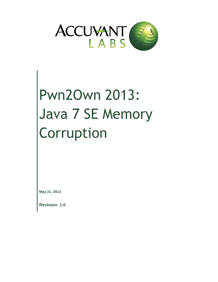

# Pwn2Own 2013: Java 7 SE Memory Corruption

**May 21, 2013**

**Revision: 1.0**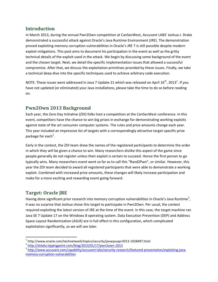## **Introduction**

In March 2013, during the annual Pwn2Own competition at CanSecWest, Accuvant LABS' Joshua J. Drake demonstrated a successful attack against Oracle's Java Runtime Environment (JRE). The demonstration proved exploiting memory corruption vulnerabilities in Oracle's JRE 7 is still possible despite modern exploit mitigations. This post aims to document his participation in the event as well as the gritty technical details of the exploit used in the attack. We begin by discussing some background of the event and the chosen target. Next, we detail the specific implementation issues that allowed a successful compromise. After that, we discuss the exploitation primitives provided by these issues. Finally, we take a technical deep dive into the specific techniques used to achieve arbitrary code execution.

NOTE: These issues were addressed in Java 7 Update 21 which was released on April 16<sup>th</sup>, 2013<sup>1</sup>. If you have not updated (or eliminated) your Java installations, please take the time to do so before reading on.

# **Pwn2Own 2013 Background**

Each year, the Zero Day Initiative (ZDI) folks host a competition at the CanSecWest conference. In this event, competitors have the chance to win big prizes in exchange for demonstrating working exploits against state of the art consumer computer systems. The rules and prize amounts change each year. This year included an impressive list of targets with a correspondingly attractive target-specific prize package for each<sup>2</sup>.

Early in the contest, the ZDI team drew the names of the registered participants to determine the order in which they will be given a chance to win. Many researchers dislike this aspect of the game since people generally do not register unless their exploit is certain to succeed. Hence the first person to go typically wins. Many researchers event went so far as to call this "Rand2Pwn", or similar. However, this year the ZDI team decided to award all registered participants that were able to demonstrate a working exploit. Combined with increased prize amounts, these changes will likely increase participation and make for a more exciting and rewarding event going forward.

## **Target: Oracle JRE**

 $\overline{\phantom{a}}$ 

Having done significant prior research into memory corruption vulnerabilities in Oracle's Java Runtime<sup>3</sup>, it was no surprise that Joshua chose this target to participate in Pwn2Own. Per usual, the contest required exploiting the latest version of JRE at the time of the event. In this case, the target machine ran Java SE 7 Update 17 on the Windows 8 operating system. Data Execution Prevention (DEP) and Address Space Layout Randomization (ASLR) are in full effect in this configuration, which complicated exploitation significantly, as we will see later.

<sup>&</sup>lt;sup>1</sup> http://www.oracle.com/technetwork/topics/security/javacpuapr2013-1928497.html

<sup>&</sup>lt;sup>2</sup> <http://dvlabs.tippingpoint.com/blog/2013/01/17/pwn2own-2013>

<sup>&</sup>lt;sup>3</sup> [http://www.accuvant.com/capability/accuvant-labs/security-research/featured-presentation/exploiting-java](http://www.accuvant.com/capability/accuvant-labs/security-research/featured-presentation/exploiting-java-memory-corruption-vulnerabilities)[memory-corruption-vulnerabilities](http://www.accuvant.com/capability/accuvant-labs/security-research/featured-presentation/exploiting-java-memory-corruption-vulnerabilities)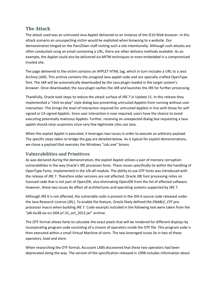## **The Attack**

The attack used was an untrusted Java Applet delivered to an instance of the IE10 Web browser. In this attack scenario an unsuspecting victim would be exploited when browsing to a website. Our demonstration hinged on the Pwn2Own staff visiting such a site intentionally. Although such attacks are often conducted using an email containing a URL, there are other delivery methods available. As an example, the Applet could also be delivered via MITM techniques or even embedded in a compromised trusted site.

The page delivered to the victim contains an APPLET HTML tag, which in turn includes a URL to a Java Archive (JAR). This archive contains the unsigned Java applet code and our specially crafted OpenType font. The JAR will be automatically downloaded by the Java plugin loaded in the target system's browser. Once downloaded, the Java plugin caches the JAR and launches the JRE for further processing.

Thankfully, Oracle took steps to reduce the attack surface of JRE 7 in Update 11. In this release they implemented a "click-to-play" style dialog box preventing untrusted Applets from running without user interaction. This brings the level of interaction required for untrusted Applets in line with those for selfsigned or CA signed Applets. Since user interaction is now required, users have the chance to avoid executing potentially malicious Applets. Further, receiving an unexpected dialog box requesting a Java applet should raise suspicions since very few legitimate sites use Java.

When the exploit Applet is executed, it leverages two issues in order to execute an arbitrary payload. The specific steps taken to bridge the gap are detailed below. As is typical for exploit demonstrations, we chose a payload that executes the Windows "calc.exe" binary.

## **Vulnerabilities and Primitives**

As was declared during the demonstration, the exploit Applet utilizes a pair of memory corruption vulnerabilities in the way Oracle's JRE processes fonts. These issues specifically lie within the handling of OpenType Fonts, implemented in the *t2k.dll* module. The ability to use OTF fonts was introduced with the release of JRE 7. Therefore older versions are not affected. Oracle JRE font processing relies on licensed code that is not part of OpenJDK, also eliminating OpenJDK from the list of affected software. However, these two issues do affect all architectures and operating systems supported by JRE 7.

Although JRE 6 is not affected, the vulnerable code is present in the JDK 6 source code released under the Java Research License (JRL). To enable the feature, Oracle likely defined the *ENABLE\_CFF* preprocessor macro when building JRE 7. Code excerpts included in the following text were taken from the "jdk-6u38-ea-src-b04-jrl-31\_oct\_2012.jar" archive.

The OTF format allows fonts to calculate the exact pixels that will be rendered for different displays by incorporating program code consisting of a stream of operators inside the OTF file. This program code is then executed within a small Virtual Machine of sorts. The two leveraged issues lie in two of these operators, *load* and *store*.

When researching the OTF format, Accuvant LABS discovered that these two operators had been deprecated along the way. The version of the specification released in 1998 includes information about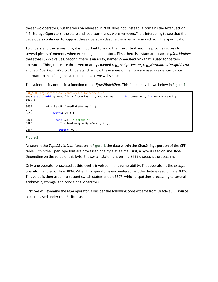these two operators, but the version released in 2000 does not. Instead, it contains the text "Section 4.5, Storage Operators: the store and load commands were removed." It is interesting to see that the developers continued to support these operators despite them being removed from the specification.

To understand the issues fully, it is important to know that the virtual machine provides access to several pieces of memory when executing the operators. First, there is a stack area named *gStackValues* that stores 32-bit values. Second, there is an array, named *buildCharArray* that is used for certain operators. Third, there are three vector arrays named *reg\_WeightVector*, *reg\_NormalizedDesignVector*, and *reg\_UserDesignVector*. Understanding how these areas of memory are used is essential to our approach to exploiting the vulnerabilities, as we will see later.

The vulnerability occurs in a function called *Type2BuildChar*. This function is shown below in [Figure 1.](#page-3-0)

```
JRE_SOURCE/j2se/src/share/native/sun/font/t2k/t1.c
3638 static void Type2BuildChar( CFFClass *t, InputStream *in, int byteCount, int nestingLevel )
3639 {
....
3654 v1 = ReadUnsignedByteMacro( in );
....<br>3659
               switch( v1 ) {
 ....
3804 case 12: /* escape */
3805 v2 = ReadUnsignedByteMacro( in );
3807
                   switch( v2 ) { }
```
#### <span id="page-3-0"></span>**Figure 1**

As seen in the *Type2BuildChar* function in [Figure 1](#page-3-0)**,** the data within the CharStrings portion of the CFF table within the OpenType font are processed one byte at a time. First, a byte is read on line 3654. Depending on the value of this byte, the switch statement on line 3659 dispatches processing.

Only one operator processed at this level is involved in this vulnerability. That operator is the *escape* operator handled on line 3804. When this operator is encountered, another byte is read on line 3805. This value is then used in a second switch statement on 3807, which dispatches processing to several arithmetic, storage, and conditional operators.

First, we will examine the *load* operator. Consider the following code excerpt from Oracle's JRE source code released under the JRL license.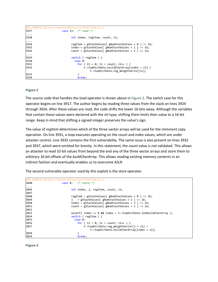|                  | JRE SOURCE/j2se/src/share/native/sun/font/t2k/t1.c                |
|------------------|-------------------------------------------------------------------|
| 3917             | case 13: $/*$ load $*/$                                           |
| .                |                                                                   |
| 3920<br><b>.</b> | int index, regItem, count, i1;                                    |
| 3924             | regItem = gStackValues[ gNumStackValues + $\theta$ ] >> 16;       |
| 3925             | index = gStackValues $\lceil$ gNumStackValues + 1 $\rceil$ >> 16; |
| 3926             | count = gStackValues $\lceil$ gNumStackValues + 2 $\rceil$ >> 16; |
| $\cdots$         |                                                                   |
| 3929             | switch ( $regItem$ ) {                                            |
| 3930             | case 0:                                                           |
| 3931             | for ( i1 = 0; i1 < count; i1++ ) {                                |
| 3932             | $t$ ->topDictData.buildCharArray[index + i1] =                    |
|                  | t->topDictData.reg WeightVector[i1];                              |
| 3933             |                                                                   |
| 3934             | break;                                                            |

<span id="page-4-0"></span>The source code that handles the *load* operator is shown above in [Figure 2.](#page-4-0) The switch case for this operator begins on line 3917. The author begins by reading three values from the stack on lines 3924 through 3926. After these values are read, the code shifts the lower 16-bits away. Although the variables that contain these values were declared with the *int* type, shifting them limits their value to a 16-bit range. Keep in mind that shifting a signed integer preserves the value's sign.

The value of *regItem* determines which of the three vector arrays will be used for the imminent copy operation. On line 3931, a loop executes operating on the *count* and *index* values, which are under attacker control. Line 3932 contains the first vulnerability. The same issue is also present on lines 3932 and 3937, which were omitted for brevity. In this statement, the *count* value is not validated. This allows an attacker to read 32-bit values from beyond the end any of the three vector arrays and store them to arbitrary 16-bit offsets of the *buildCharArray*. This allows reading existing memory contents in an indirect fashion and eventually enables us to overcome ASLR.

|          | JRE_SOURCE/j2se/src/share/native/sun/font/t2k/t1.c                  |
|----------|---------------------------------------------------------------------|
| 3840     | case 8: $/*$ store $*/$                                             |
| $\cdots$ |                                                                     |
| 3846     | int index, j, regItem, count, i1;                                   |
| 3847     |                                                                     |
| 3848     | regItem = gStackValues [ gNumStackValues + $\theta$ ] >> 16;        |
| 3849     | = gStackValues [ gNumStackValues + 1 ] >> 16;                       |
| 3850     | index = gStackValues $\lceil$ gNumStackValues + 2 $\rceil$ >> 16;   |
| 3851     | count = gStackValues $\lceil$ gNumStackValues + 3 $\rceil$ >> 16;   |
| 3852     |                                                                     |
| 3853     | assert( index $>= 0$ && index < t->topDictData.lenBuildCharArray ); |
| 3854     | switch ( $regItem$ ) {                                              |
| 3855     | case 0:                                                             |
| 3856     | for ( i1 = 0; i1 < count; i1++ ) {                                  |
| 3857     | t->topDictData.reg WeightVector $[i + i1] =$                        |
|          | $t$ ->topDictData.buildCharArray[index + i1];                       |
| 3858     |                                                                     |
| 3859     | break:                                                              |

The second vulnerable operator used by this exploit is the *store* operator.

<span id="page-4-1"></span>**Figure 3**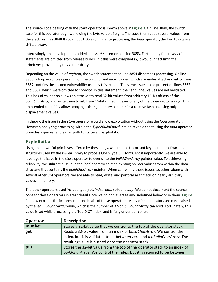The source code dealing with the *store* operator is shown above in [Figure 3.](#page-4-1) On line 3840, the switch case for this operator begins, showing the byte value of eight. The code then reads several values from the stack on lines 3848 through 3851. Again, similar to processing the *load* operator, the low 16-bits are shifted away.

Interestingly, the developer has added an *assert* statement on line 3853. Fortunately for us, *assert* statements are omitted from release builds. If it this were compiled in, it would in fact limit the primitives provided by this vulnerability.

Depending on the value of *regItem*, the switch statement on line 3854 dispatches processing. On line 3856, a loop executes operating on the *count*, *j*, and *index* values, which are under attacker control. Line 3857 contains the second vulnerability used by this exploit. The same issue is also present on lines 3862 and 3867, which were omitted for brevity. In this statement, the *j* and *index* values are not validated. This lack of validation allows an attacker to read 32-bit values from arbitrary 16-bit offsets of the *buildCharArray* and write them to arbitrary 16-bit signed indexes of any of the three vector arrays. This unintended capability allows copying existing memory contents in a relative fashion, using only displacement values.

In theory, the issue in the *store* operator would allow exploitation without using the *load* operator. However, analyzing processing within the *Type2BuildChar* function revealed that using the *load* operator provides a quicker and easier path to successful exploitation.

## **Exploitation**

Using the powerful primitives offered by these bugs, we are able to corrupt key elements of various structures used by the *t2k.dll* library to process OpenType CFF fonts. Most importantly, we are able to leverage the issue in the *store* operator to overwrite the *buildCharArray* pointer value. To achieve high reliability, we utilize the issue in the *load* operator to read existing pointer values from within the data structure that contains the *buildCharArray* pointer. When combining these issues together, along with several other VM operators, we are able to read, write, and perform arithmetic on nearly arbitrary values in memory.

The other operators used include; *get*, *put*, *index*, *add, sub*, and *dup*. We do not document the source code for these operators in great detail since we do not leverage any undefined behavior in them. [Figure](#page-6-0)  [4](#page-6-0) [below](#page-6-0) explains the implementation details of these operators. Many of the operators are constrained by the *lenBuildCharArray* value, which is the number of 32-bit *buildCharArray* can hold. Fortunately, this value is set while processing the Top DICT index, and is fully under our control.

| <b>Operator</b> | <b>Description</b>                                                                                                                                                                                     |
|-----------------|--------------------------------------------------------------------------------------------------------------------------------------------------------------------------------------------------------|
| number          | Stores a 32-bit value that we control to the top of the operator stack.                                                                                                                                |
| get             | Reads a 32-bit value from an index of buildCharArray. We control the<br>index, but it is validated to be between zero and lenBuildCharArray. The<br>resulting value is pushed onto the operator stack. |
| put             | Stores the 32-bit value from the top of the operator stack to an index of<br>buildCharArray. We control the index, but it is required to be between                                                    |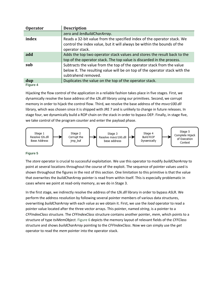| <b>Operator</b> | <b>Description</b>                                                                                                                                                          |
|-----------------|-----------------------------------------------------------------------------------------------------------------------------------------------------------------------------|
|                 | zero and lenBuildCharArray.                                                                                                                                                 |
| index           | Reads a 32-bit value from the specified index of the operator stack. We<br>control the index value, but it will always be within the bounds of the<br>operator stack.       |
| add             | Adds the top two operator stack values and stores the result back to the<br>top of the operator stack. The top value is discarded in the process.                           |
| sub             | Subtracts the value from the top of the operator stack from the value<br>below it. The resulting value will be on top of the operator stack with the<br>subtrahend removed. |
| dup             | Duplicates the value on the top of the operator stack.                                                                                                                      |

<span id="page-6-0"></span>Hijacking the flow control of the application in a reliable fashion takes place in five stages. First, we dynamically resolve the base address of the *t2k.dll* library using our primitives. Second, we corrupt memory in order to hijack the control flow. Third, we resolve the base address of the *msvcr100.dll* library, which was chosen since it is shipped with JRE 7 and is unlikely to change in future releases. In stage four, we dynamically build a ROP chain on the stack in order to bypass DEP. Finally, in stage five, we take control of the program counter and enter the payload phase.



#### **Figure 5**

The *store* operator is crucial to successful exploitation. We use this operator to modify *buildCharArray* to point at several locations throughout the course of the exploit. The sequence of pointer values used is shown throughout the figures in the rest of this section. One limitation to this primitive is that the value that overwrites the *buildCharArray* pointer is read from within itself. This is especially problematic in cases where we point at read-only memory, as we do in Stage 3.

In the first stage, we indirectly resolve the address of the *t2k.dll* library in order to bypass ASLR. We perform the address resolution by following several pointer members of various data structures, overwriting *buildCharArray* with each value as we obtain it. First, we use the *load* operator to read a pointer value located after the three vector arrays. This pointer, named *string*, is a pointer to a *CFFIndexClass* structure. The *CFFIndexClass* structure contains another pointer, *mem*, which points to a structure of type *tsiMemObject*[. Figure 6](#page-7-0) depicts the memory layout of relevant fields of the *CFFClass* structure and shows *buildCharArray* pointing to the *CFFIndexClass*. Now we can simply use the *get* operator to read the *mem* pointer into the operator stack.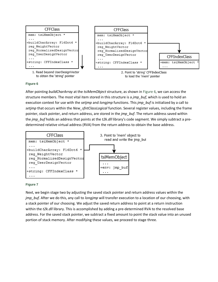

<span id="page-7-0"></span>After pointing *buildCharArray* at the *tsiMemObject* structure, as shown in [Figure 6,](#page-7-0) we can access the structure members. The most vital item stored in this structure is a *jmp\_buf*, which is used to hold an execution context for use with the *setjmp* and *longjmp* functions. This *jmp\_buf* is initialized by a call to *setjmp* that occurs within the *New\_sfntClassLogical* function. Several register values, including the frame pointer, stack pointer, and return address, are stored in the *jmp\_buf*. The return address saved within the *jmp\_buf* holds an address that points at the *t2k.dll* library's code segment. We simply subtract a predetermined relative virtual address (RVA) from the return address to obtain the base address.



#### **Figure 7**

Next, we begin stage two by adjusting the saved stack pointer and return address values within the *jmp\_buf*. After we do this, any call to *longjmp* will transfer execution to a location of our choosing, with a stack pointer of our choosing. We adjust the saved return address to point at a return instruction within the *t2k.dll* library. This is accomplished by adding a pre-determined RVA to the resolved base address. For the saved stack pointer, we subtract a fixed amount to point the stack value into an unused portion of stack memory. After modifying these values, we proceed to stage three.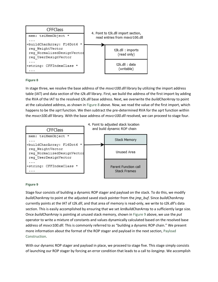

<span id="page-8-0"></span>In stage three, we resolve the base address of the *msvcr100.dll* library by utilizing the import address table (IAT) and data section of the *t2k.dll* library. First, we build the address of the first import by adding the RVA of the IAT to the resolved *t2k.dll* base address. Next, we overwrite the *buildCharArray* to point at the calculated address, as shown in [Figure 8](#page-8-0) [above.](#page-8-0) Now, we read the value of the first import, which happens to be the *sqrt* function. We then subtract the pre-determined RVA for the *sqrt* function within the *msvcr100.dll* library. With the base address of *msvcr100.dll* resolved, we can proceed to stage four.



#### <span id="page-8-1"></span>**Figure 9**

Stage four consists of building a dynamic ROP stager and payload on the stack. To do this, we modify *buildCharArray* to point at the adjusted saved stack pointer from the *jmp\_buf*. Since *buildCharArray* currently points at the IAT of *t2k.dll*, and that area of memory is read-only, we write to *t2k.dll*'s data section. This is easily accomplished by ensuring that we set *lenBuildCharArray* to a sufficiently large size. Once *buildCharArray* is pointing at unused stack memory, shown in [Figure 9](#page-8-1) above, we use the *put* operator to write a mixture of constants and values dynamically calculated based on the resolved base address of *msvcr100.dll*. This is commonly referred to as "building a dynamic ROP chain." We present more information about the format of the ROP stager and payload in the next section, [Payload](#page-9-0)  [Construction.](#page-9-0)

With our dynamic ROP stager and payload in place, we proceed to stage five. This stage simply consists of launching our ROP stager by forcing an error condition that leads to a call to *longjmp*. We accomplish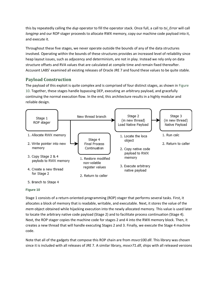this by repeatedly calling the *dup* operator to fill the operator stack. Once full, a call to *tsi\_Error* will call *longjmp* and our ROP stager proceeds to allocate RWX memory, copy our machine code payload into it, and execute it.

Throughout these five stages, we never operate outside the bounds of any of the data structures involved. Operating within the bounds of these structures provides an increased level of reliability since heap layout issues, such as adjacency and determinism, are not in play. Instead we rely only on data structure offsets and RVA values that are calculated at compile time and remain fixed thereafter. Accuvant LABS' examined all existing releases of Oracle JRE 7 and found these values to be quite stable.

## <span id="page-9-0"></span>**Payload Construction**

The payload of this exploit is quite complex and is comprised of four distinct stages, as shown in [Figure](#page-9-1)  [10.](#page-9-1) Together, these stages handle bypassing DEP, executing an arbitrary payload, and gracefully continuing the normal execution flow. In the end, this architecture results in a highly modular and reliable design.



#### <span id="page-9-1"></span>**Figure 10**

Stage 1 consists of a return-oriented-programming (ROP) stager that performs several tasks. First, it allocates a block of memory that is readable, writable, and executable. Next, it stores the value of the *mem* object obtained while hijacking execution into the newly allocated memory. This value is used later to locate the arbitrary native code payload (Stage 2) and to facilitate process continuation (Stage 4). Next, the ROP stager copies the machine code for stages 2 and 4 into the RWX memory block. Then, it creates a new thread that will handle executing Stages 2 and 3. Finally, we execute the Stage 4 machine code.

Note that all of the gadgets that compose this ROP chain are from *msvcr100.dll*. This library was chosen since it is included with all releases of JRE 7. A similar library, *msvcr71.dll*, ships with all released versions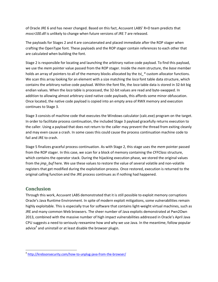of Oracle JRE 6 and has never changed. Based on this fact, Accuvant LABS' R+D team predicts that *msvcr100.dll* is unlikely to change when future versions of JRE 7 are released.

The payloads for Stages 2 and 4 are concatenated and placed immediate after the ROP stager when crafting the OpenType font. These payloads and the ROP stager contain references to each other that are calculated when building the font.

Stage 2 is responsible for locating and launching the arbitrary native code payload. To find this payload, we use the *mem* pointer value passed from the ROP stager. Inside the *mem* structure, the *base* member holds an array of pointers to all of the memory blocks allocated by the *tsi\_\** custom allocator functions. We scan this array looking for an element with a size matching the *loca* font table data structure, which contains the arbitrary native code payload. Within the font file, the *loca* table data is stored in 32-bit big endian values. When the *loca* table is processed, the 32-bit values are read and byte-swapped. In addition to allowing almost arbitrary sized native code payloads, this affords some minor obfuscation. Once located, the native code payload is copied into an empty area of RWX memory and execution continues to Stage 3.

Stage 3 consists of machine code that executes the Windows calculator (calc.exe) program on the target. In order to facilitate process continuation, the included Stage 3 payload gracefully returns execution to the caller. Using a payload that does not return to the caller may prevent the thread from exiting cleanly and may even cause a crash. In some cases this could cause the process continuation machine code to fail and JRE to crash.

Stage 5 finalizes graceful process continuation. As with Stage 2, this stage uses the *mem* pointer passed from the ROP stager. In this case, we scan for a block of memory containing the *CFFClass* structure, which contains the operator stack. During the hijacking execution phase, we stored the original values from the *jmp\_buf* here. We use these values to restore the value of several volatile and non-volatile registers that get modified during the exploitation process. Once restored, execution is returned to the original calling function and the JRE process continues as if nothing had happened.

## **Conclusion**

 $\overline{\phantom{a}}$ 

Through this work, Accuvant LABS demonstrated that it is still possible to exploit memory corruptions Oracle's Java Runtime Environment. In spite of modern exploit mitigations, some vulnerabilities remain highly exploitable. This is especially true for software that contains light-weight virtual machines, such as JRE and many common Web browsers. The sheer number of Java exploits demonstrated at Pwn2Own 2013, combined with the massive number of high impact vulnerabilities addressed in Oracle's April Java CPU suggests a need to seriously reexamine how and why we use Java. In the meantime, follow popular advice<sup>4</sup> and uninstall or at least disable the browser plugin.

<sup>&</sup>lt;sup>4</sup> <http://krebsonsecurity.com/how-to-unplug-java-from-the-browser/>